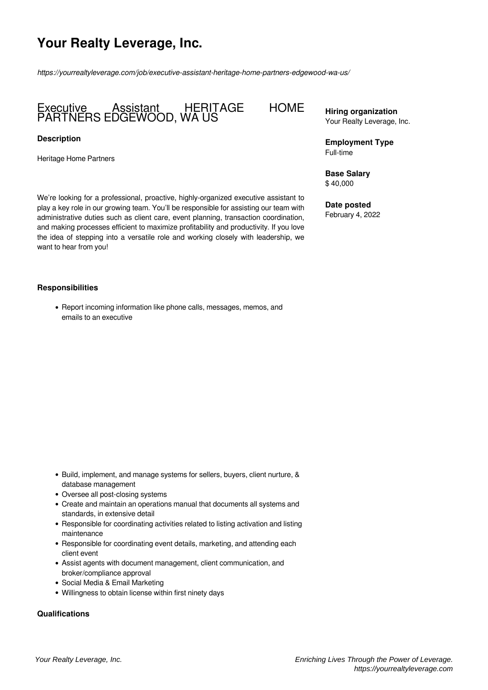# **Your Realty Leverage, Inc.**

*https://yourrealtyleverage.com/job/executive-assistant-heritage-home-partners-edgewood-wa-us/*

# Executive Assistant HERITAGE HOME PARTNERS EDGEWOOD, WA US

#### **Description**

Heritage Home Partners

We're looking for a professional, proactive, highly-organized executive assistant to play a key role in our growing team. You'll be responsible for assisting our team with administrative duties such as client care, event planning, transaction coordination, and making processes efficient to maximize profitability and productivity. If you love the idea of stepping into a versatile role and working closely with leadership, we want to hear from you!

#### **Responsibilities**

• Report incoming information like phone calls, messages, memos, and emails to an executive

- Build, implement, and manage systems for sellers, buyers, client nurture, & database management
- Oversee all post-closing systems
- Create and maintain an operations manual that documents all systems and standards, in extensive detail
- Responsible for coordinating activities related to listing activation and listing maintenance
- Responsible for coordinating event details, marketing, and attending each client event
- Assist agents with document management, client communication, and broker/compliance approval
- Social Media & Email Marketing
- Willingness to obtain license within first ninety days

# **Qualifications**

## **Hiring organization** Your Realty Leverage, Inc.

**Employment Type** Full-time

**Base Salary** \$ 40,000

**Date posted** February 4, 2022